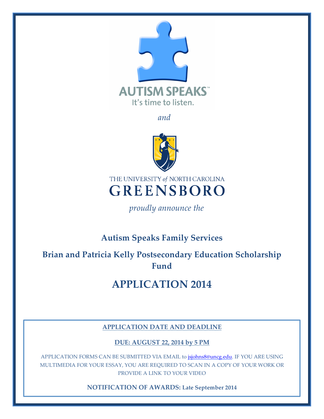

*and*



THE UNIVERSITY of NORTH CAROLINA **GREENSBORO** 

*proudly announce the*

## **Autism Speaks Family Services**

**Brian and Patricia Kelly Postsecondary Education Scholarship Fund**

# **APPLICATION 2014**

#### **APPLICATION DATE AND DEADLINE**

**DUE: AUGUST 22, 2014 by 5 PM**

APPLICATION FORMS CAN BE SUBMITTED VIA EMAIL to jsjohns8@uncg.edu. IF YOU ARE USING MULTIMEDIA FOR YOUR ESSAY, YOU ARE REQUIRED TO SCAN IN A COPY OF YOUR WORK OR PROVIDE A LINK TO YOUR VIDEO

**NOTIFICATION OF AWARDS: Late September 2014**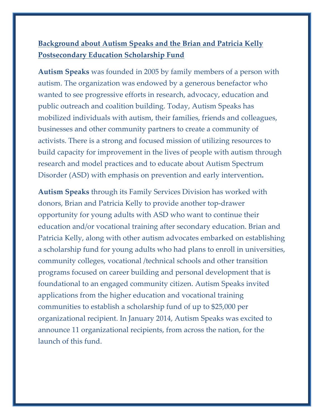### **Background about Autism Speaks and the Brian and Patricia Kelly Postsecondary Education Scholarship Fund**

**Autism Speaks** was founded in 2005 by family members of a person with autism. The organization was endowed by a generous benefactor who wanted to see progressive efforts in research, advocacy, education and public outreach and coalition building. Today, Autism Speaks has mobilized individuals with autism, their families, friends and colleagues, businesses and other community partners to create a community of activists. There is a strong and focused mission of utilizing resources to build capacity for improvement in the lives of people with autism through research and model practices and to educate about Autism Spectrum Disorder (ASD) with emphasis on prevention and early intervention**.** 

**Autism Speaks** through its Family Services Division has worked with donors, Brian and Patricia Kelly to provide another top-drawer opportunity for young adults with ASD who want to continue their education and/or vocational training after secondary education. Brian and Patricia Kelly, along with other autism advocates embarked on establishing a scholarship fund for young adults who had plans to enroll in universities, community colleges, vocational /technical schools and other transition programs focused on career building and personal development that is foundational to an engaged community citizen. Autism Speaks invited applications from the higher education and vocational training communities to establish a scholarship fund of up to \$25,000 per organizational recipient. In January 2014, Autism Speaks was excited to announce 11 organizational recipients, from across the nation, for the launch of this fund.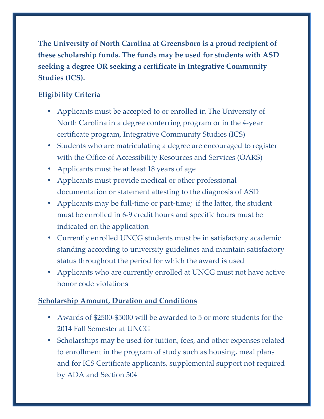**The University of North Carolina at Greensboro is a proud recipient of these scholarship funds. The funds may be used for students with ASD seeking a degree OR seeking a certificate in Integrative Community Studies (ICS).**

#### **Eligibility Criteria**

- Applicants must be accepted to or enrolled in The University of North Carolina in a degree conferring program or in the 4-year certificate program, Integrative Community Studies (ICS)
- Students who are matriculating a degree are encouraged to register with the Office of Accessibility Resources and Services (OARS)
- Applicants must be at least 18 years of age
- Applicants must provide medical or other professional documentation or statement attesting to the diagnosis of ASD
- Applicants may be full-time or part-time; if the latter, the student must be enrolled in 6-9 credit hours and specific hours must be indicated on the application
- Currently enrolled UNCG students must be in satisfactory academic standing according to university guidelines and maintain satisfactory status throughout the period for which the award is used
- Applicants who are currently enrolled at UNCG must not have active honor code violations

#### **Scholarship Amount, Duration and Conditions**

- Awards of \$2500-\$5000 will be awarded to 5 or more students for the 2014 Fall Semester at UNCG
- Scholarships may be used for tuition, fees, and other expenses related to enrollment in the program of study such as housing, meal plans and for ICS Certificate applicants, supplemental support not required by ADA and Section 504